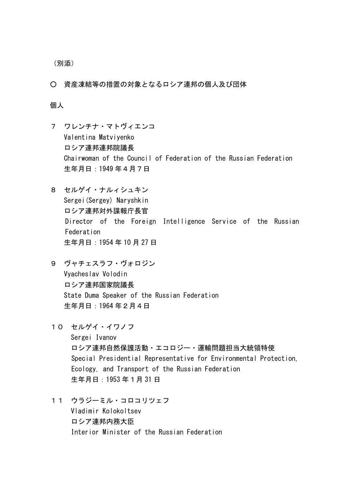(別添)

○ 資産凍結等の措置の対象となるロシア連邦の個人及び団体

## 個人

- 7 ワレンチナ・マトヴィエンコ Valentina Matviyenko ロシア連邦連邦院議長 Chairwoman of the Council of Federation of the Russian Federation 生年月日:1949 年4月7日
- 8 セルゲイ・ナルィシュキン Sergei(Sergey) Naryshkin ロシア連邦対外諜報庁長官 Director of the Foreign Intelligence Service of the Russian Federation 生年月日:1954 年 10 月 27 日
- 9 ヴャチェスラフ・ヴォロジン Vyacheslav Volodin ロシア連邦国家院議長 State Duma Speaker of the Russian Federation 生年月日:1964 年2月4日
- 10 セルゲイ・イワノフ Sergei Ivanov ロシア連邦自然保護活動・エコロジー・運輸問題担当大統領特使 Special Presidential Representative for Environmental Protection, Ecology, and Transport of the Russian Federation 生年月日:1953 年1月 31 日
- 11 ウラジーミル・コロコリツェフ Vladimir Kolokoltsev ロシア連邦内務大臣 Interior Minister of the Russian Federation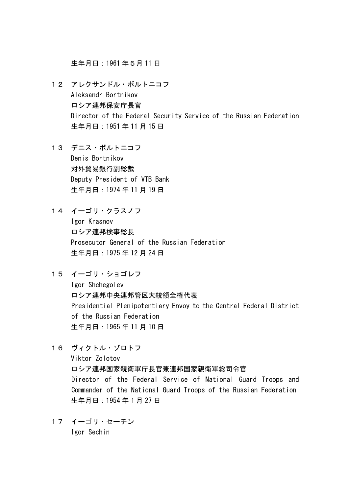生年月日:1961 年5月 11 日

- 12 アレクサンドル・ボルトニコフ Aleksandr Bortnikov ロシア連邦保安庁長官 Director of the Federal Security Service of the Russian Federation 生年月日:1951 年 11 月 15 日
- 13 デニス・ボルトニコフ Denis Bortnikov 対外貿易銀行副総裁 Deputy President of VTB Bank 生年月日:1974 年 11 月 19 日
- 14 イーゴリ・クラスノフ

Igor Krasnov ロシア連邦検事総長 Prosecutor General of the Russian Federation 生年月日:1975 年 12 月 24 日

15 イーゴリ・ショゴレフ

Igor Shchegolev ロシア連邦中央連邦管区大統領全権代表 Presidential Plenipotentiary Envoy to the Central Federal District of the Russian Federation 生年月日:1965 年 11 月 10 日

- 16 ヴィクトル・ゾロトフ Viktor Zolotov ロシア連邦国家親衛軍庁長官兼連邦国家親衛軍総司令官 Director of the Federal Service of National Guard Troops and Commander of the National Guard Troops of the Russian Federation 生年月日:1954 年1月 27 日
- 17 イーゴリ・セーチン Igor Sechin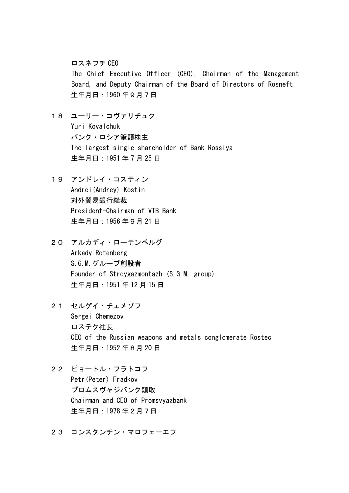ロスネフチ CEO

The Chief Executive Officer (CEO), Chairman of the Management Board, and Deputy Chairman of the Board of Directors of Rosneft 生年月日:1960 年9月7日

- 18 ユーリー・コヴァリチュク Yuri Kovalchuk バンク・ロシア筆頭株主 The largest single shareholder of Bank Rossiya 生年月日:1951 年 7 月 25 日
- 19 アンドレイ・コスティン Andrei(Andrey) Kostin 対外貿易銀行総裁 President-Chairman of VTB Bank 生年月日:1956 年9月 21 日
- 20 アルカディ・ローテンベルグ Arkady Rotenberg S.G.M.グループ創設者 Founder of Stroygazmontazh (S.G.M. group) 生年月日:1951 年 12 月 15 日
- 21 セルゲイ・チェメゾフ Sergei Chemezov ロステク社長 CEO of the Russian weapons and metals conglomerate Rostec 生年月日:1952 年8月 20 日
- 22 ピョートル・フラトコフ Petr(Peter) Fradkov プロムスヴャジバンク頭取 Chairman and CEO of Promsvyazbank 生年月日:1978 年2月7日
- 23 コンスタンチン・マロフェーエフ